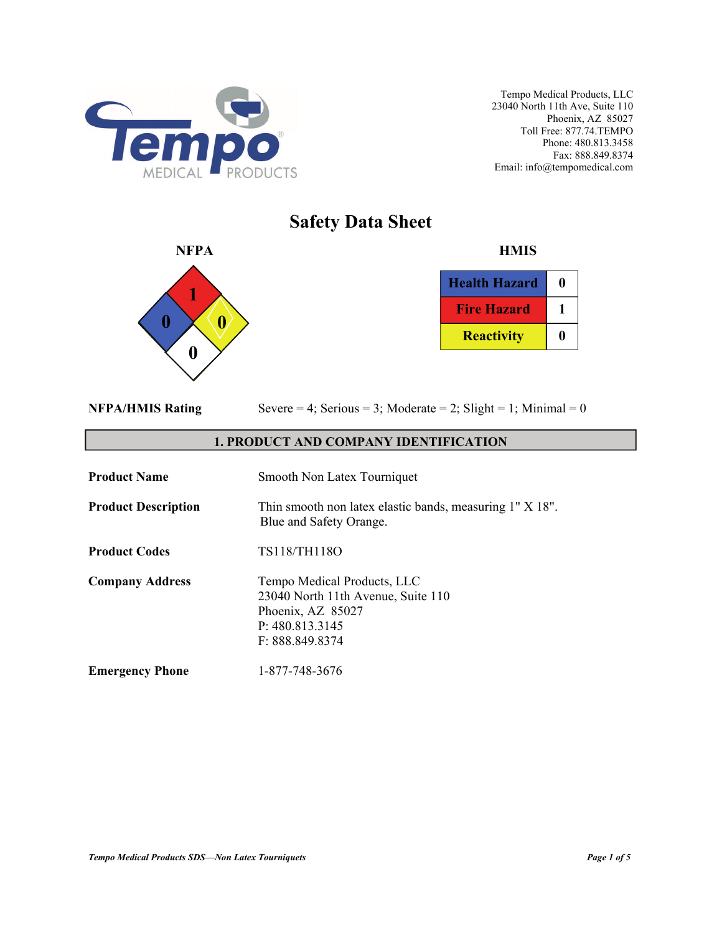

# **Safety Data Sheet**



| <b>Health Hazard</b> |  |
|----------------------|--|
| <b>Fire Hazard</b>   |  |
| <b>Reactivity</b>    |  |

|  | <b>NFPA/HMIS Rating</b> |
|--|-------------------------|
|  |                         |

Severe  $= 4$ ; Serious  $= 3$ ; Moderate  $= 2$ ; Slight  $= 1$ ; Minimal  $= 0$ 

# **1. PRODUCT AND COMPANY IDENTIFICATION**

| <b>Product Name</b>        | Smooth Non Latex Tourniquet                                                                                                  |
|----------------------------|------------------------------------------------------------------------------------------------------------------------------|
| <b>Product Description</b> | Thin smooth non latex elastic bands, measuring 1" X 18".<br>Blue and Safety Orange.                                          |
| <b>Product Codes</b>       | TS118/TH118O                                                                                                                 |
| <b>Company Address</b>     | Tempo Medical Products, LLC<br>23040 North 11th Avenue, Suite 110<br>Phoenix, AZ 85027<br>P: 480.813.3145<br>F: 888.849.8374 |
| <b>Emergency Phone</b>     | 1-877-748-3676                                                                                                               |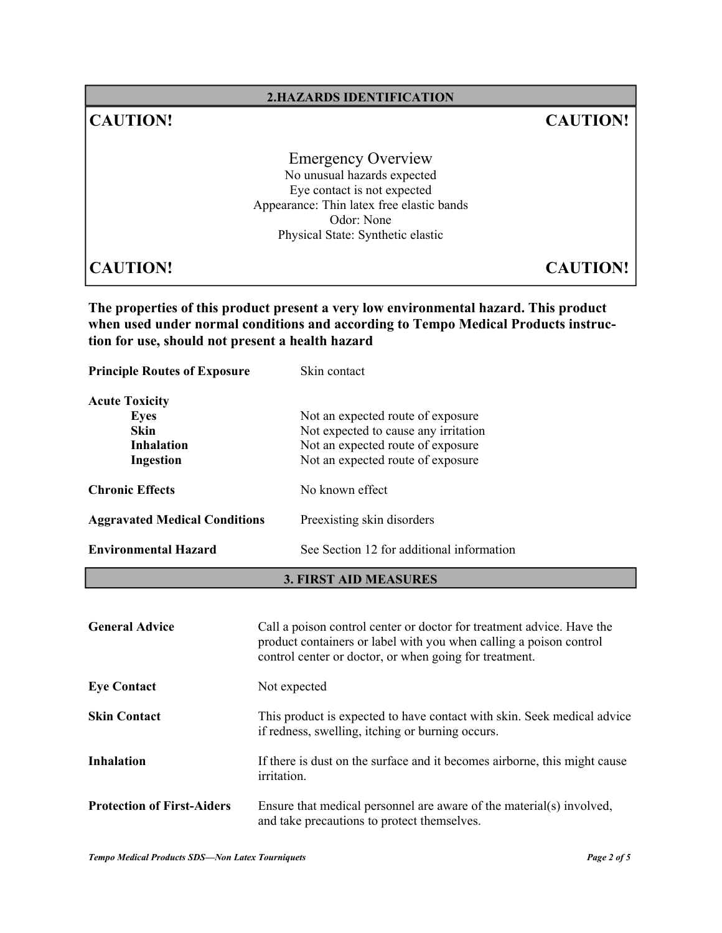## **2.HAZARDS IDENTIFICATION**

# **CAUTION! CAUTION!**

Emergency Overview No unusual hazards expected Eye contact is not expected Appearance: Thin latex free elastic bands Odor: None Physical State: Synthetic elastic

**CAUTION! CAUTION!**

**The properties of this product present a very low environmental hazard. This product when used under normal conditions and according to Tempo Medical Products instruction for use, should not present a health hazard** 

**Principle Routes of Exposure** Skin contact **Acute Toxicity Eyes** Not an expected route of exposure **Skin** Not expected to cause any irritation **Inhalation** Not an expected route of exposure **Ingestion** Not an expected route of exposure **Chronic Effects** No known effect Aggravated Medical Conditions Preexisting skin disorders **Environmental Hazard** See Section 12 for additional information

#### **3. FIRST AID MEASURES**

| <b>General Advice</b>             | Call a poison control center or doctor for treatment advice. Have the<br>product containers or label with you when calling a poison control<br>control center or doctor, or when going for treatment. |
|-----------------------------------|-------------------------------------------------------------------------------------------------------------------------------------------------------------------------------------------------------|
| <b>Eye Contact</b>                | Not expected                                                                                                                                                                                          |
| <b>Skin Contact</b>               | This product is expected to have contact with skin. Seek medical advice<br>if redness, swelling, itching or burning occurs.                                                                           |
| <b>Inhalation</b>                 | If there is dust on the surface and it becomes airborne, this might cause<br><i>irritation.</i>                                                                                                       |
| <b>Protection of First-Aiders</b> | Ensure that medical personnel are aware of the material(s) involved,<br>and take precautions to protect themselves.                                                                                   |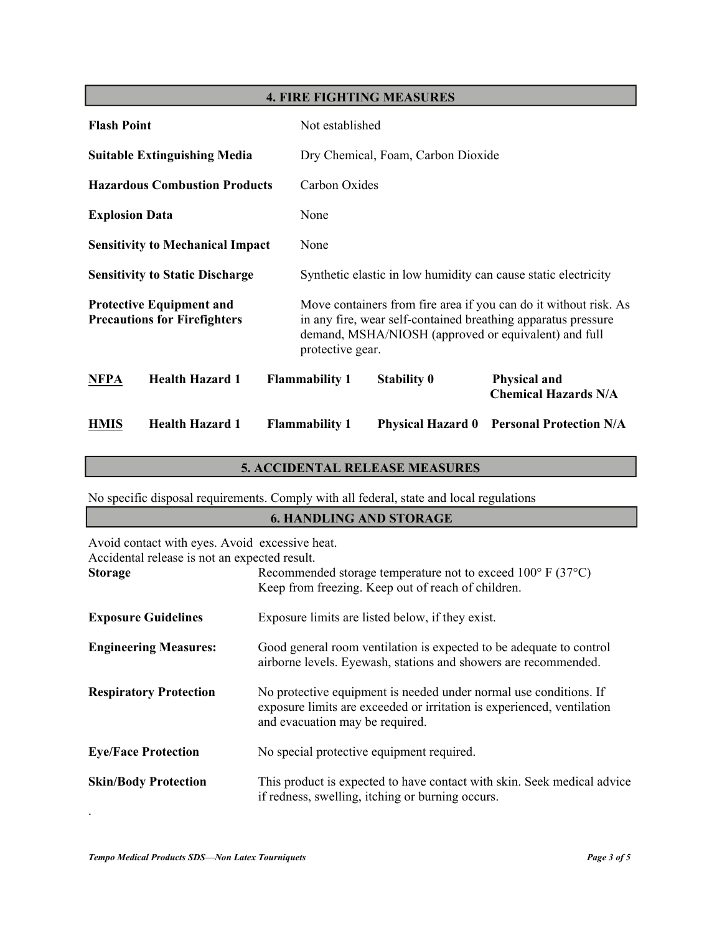# **4. FIRE FIGHTING MEASURES**

| <b>Flash Point</b>                                                     |                                         |                                    | Not established                                                                                                                                                                                               |                          |                                                                |
|------------------------------------------------------------------------|-----------------------------------------|------------------------------------|---------------------------------------------------------------------------------------------------------------------------------------------------------------------------------------------------------------|--------------------------|----------------------------------------------------------------|
| <b>Suitable Extinguishing Media</b>                                    |                                         | Dry Chemical, Foam, Carbon Dioxide |                                                                                                                                                                                                               |                          |                                                                |
|                                                                        | <b>Hazardous Combustion Products</b>    |                                    | Carbon Oxides                                                                                                                                                                                                 |                          |                                                                |
| <b>Explosion Data</b>                                                  |                                         |                                    | None                                                                                                                                                                                                          |                          |                                                                |
|                                                                        | <b>Sensitivity to Mechanical Impact</b> |                                    | None                                                                                                                                                                                                          |                          |                                                                |
|                                                                        | <b>Sensitivity to Static Discharge</b>  |                                    |                                                                                                                                                                                                               |                          | Synthetic elastic in low humidity can cause static electricity |
| <b>Protective Equipment and</b><br><b>Precautions for Firefighters</b> |                                         |                                    | Move containers from fire area if you can do it without risk. As<br>in any fire, wear self-contained breathing apparatus pressure<br>demand, MSHA/NIOSH (approved or equivalent) and full<br>protective gear. |                          |                                                                |
| <b>NFPA</b>                                                            | <b>Health Hazard 1</b>                  |                                    | <b>Flammability 1</b>                                                                                                                                                                                         | <b>Stability 0</b>       | <b>Physical and</b><br><b>Chemical Hazards N/A</b>             |
| <b>HMIS</b>                                                            | <b>Health Hazard 1</b>                  |                                    | <b>Flammability 1</b>                                                                                                                                                                                         | <b>Physical Hazard 0</b> | <b>Personal Protection N/A</b>                                 |

# **5. ACCIDENTAL RELEASE MEASURES**

No specific disposal requirements. Comply with all federal, state and local regulations

# **6. HANDLING AND STORAGE**

| Avoid contact with eyes. Avoid excessive heat.<br>Accidental release is not an expected result. |                                                                                                                                                                                |
|-------------------------------------------------------------------------------------------------|--------------------------------------------------------------------------------------------------------------------------------------------------------------------------------|
| <b>Storage</b>                                                                                  | Recommended storage temperature not to exceed $100^{\circ}$ F (37 $^{\circ}$ C)<br>Keep from freezing. Keep out of reach of children.                                          |
| <b>Exposure Guidelines</b>                                                                      | Exposure limits are listed below, if they exist.                                                                                                                               |
| <b>Engineering Measures:</b>                                                                    | Good general room ventilation is expected to be adequate to control<br>airborne levels. Eyewash, stations and showers are recommended.                                         |
| <b>Respiratory Protection</b>                                                                   | No protective equipment is needed under normal use conditions. If<br>exposure limits are exceeded or irritation is experienced, ventilation<br>and evacuation may be required. |
| <b>Eye/Face Protection</b>                                                                      | No special protective equipment required.                                                                                                                                      |
| <b>Skin/Body Protection</b>                                                                     | This product is expected to have contact with skin. Seek medical advice<br>if redness, swelling, itching or burning occurs.                                                    |

.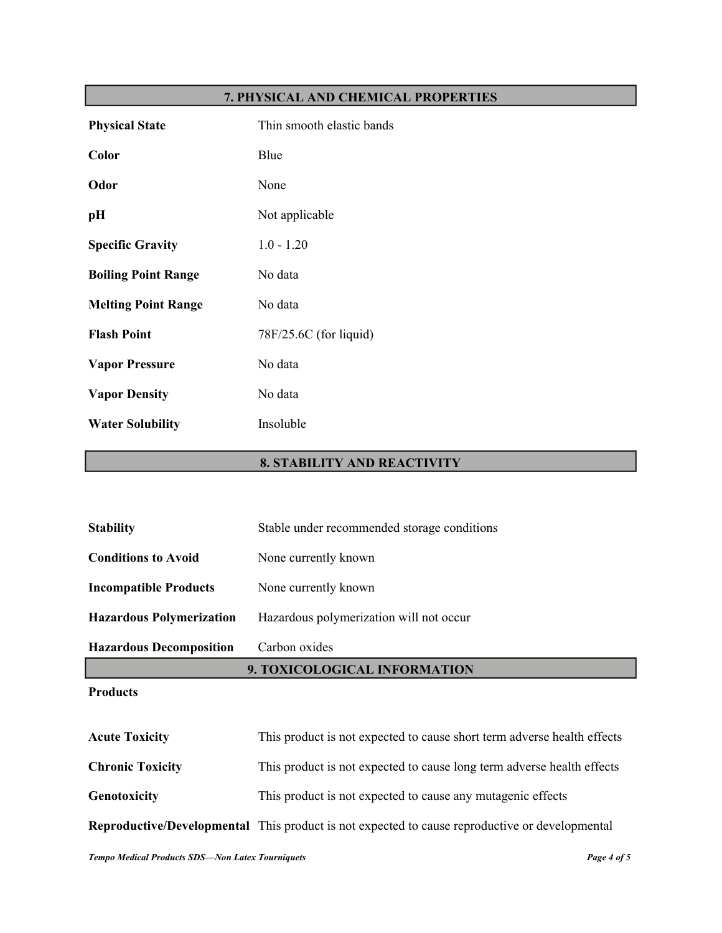# **7. PHYSICAL AND CHEMICAL PROPERTIES**

| <b>Physical State</b>      | Thin smooth elastic bands |
|----------------------------|---------------------------|
| Color                      | Blue                      |
| Odor                       | None                      |
| pН                         | Not applicable            |
| <b>Specific Gravity</b>    | $1.0 - 1.20$              |
| <b>Boiling Point Range</b> | No data                   |
| <b>Melting Point Range</b> | No data                   |
| <b>Flash Point</b>         | 78F/25.6C (for liquid)    |
| <b>Vapor Pressure</b>      | No data                   |
| <b>Vapor Density</b>       | No data                   |
| <b>Water Solubility</b>    | Insoluble                 |

# **8. STABILITY AND REACTIVITY**

| <b>Droducts</b>                 |                                             |
|---------------------------------|---------------------------------------------|
|                                 | 9. TOXICOLOGICAL INFORMATION                |
| <b>Hazardous Decomposition</b>  | Carbon oxides                               |
| <b>Hazardous Polymerization</b> | Hazardous polymerization will not occur     |
| <b>Incompatible Products</b>    | None currently known                        |
| <b>Conditions to Avoid</b>      | None currently known                        |
| <b>Stability</b>                | Stable under recommended storage conditions |

#### **Products**

| <b>Acute Toxicity</b>   | This product is not expected to cause short term adverse health effects                               |
|-------------------------|-------------------------------------------------------------------------------------------------------|
| <b>Chronic Toxicity</b> | This product is not expected to cause long term adverse health effects                                |
| Genotoxicity            | This product is not expected to cause any mutagenic effects                                           |
|                         | <b>Reproductive/Developmental</b> This product is not expected to cause reproductive or developmental |